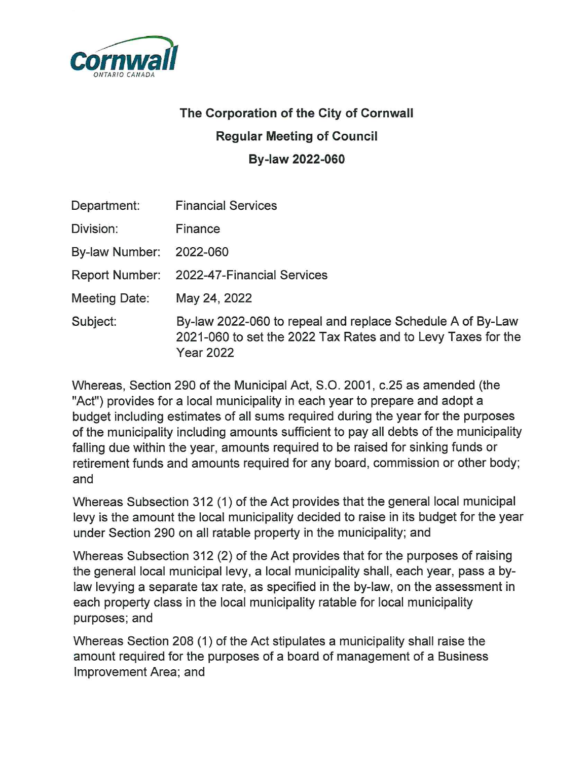

## The Corporation of the City of Cornwall **Regular Meeting of Council** By-law 2022-060

| <b>Financial Services</b><br>Finance<br>2022-060<br>May 24, 2022<br><b>Year 2022</b>                  |             |                                                                                                                            |
|-------------------------------------------------------------------------------------------------------|-------------|----------------------------------------------------------------------------------------------------------------------------|
| Division:<br>By-law Number:<br>Report Number: 2022-47-Financial Services<br>Meeting Date:<br>Subject: | Department: |                                                                                                                            |
|                                                                                                       |             |                                                                                                                            |
|                                                                                                       |             |                                                                                                                            |
|                                                                                                       |             |                                                                                                                            |
|                                                                                                       |             |                                                                                                                            |
|                                                                                                       |             | By-law 2022-060 to repeal and replace Schedule A of By-Law<br>2021-060 to set the 2022 Tax Rates and to Levy Taxes for the |

Whereas, Section 290 of the Municipal Act, S.O. 2001, c.25 as amended (the "Act") provides for a local municipality in each year to prepare and adopt a budget including estimates of all sums required during the year for the purposes of the municipality including amounts sufficient to pay all debts of the municipality falling due within the year, amounts required to be raised for sinking funds or retirement funds and amounts required for any board, commission or other body; and

Whereas Subsection 312 (1) of the Act provides that the general local municipal levy is the amount the local municipality decided to raise in its budget for the year under Section 290 on all ratable property in the municipality; and

Whereas Subsection 312 (2) of the Act provides that for the purposes of raising the general local municipal levy, a local municipality shall, each year, pass a bylaw levying a separate tax rate, as specified in the by-law, on the assessment in each property class in the local municipality ratable for local municipality purposes; and

Whereas Section 208 (1) of the Act stipulates a municipality shall raise the amount required for the purposes of a board of management of a Business Improvement Area; and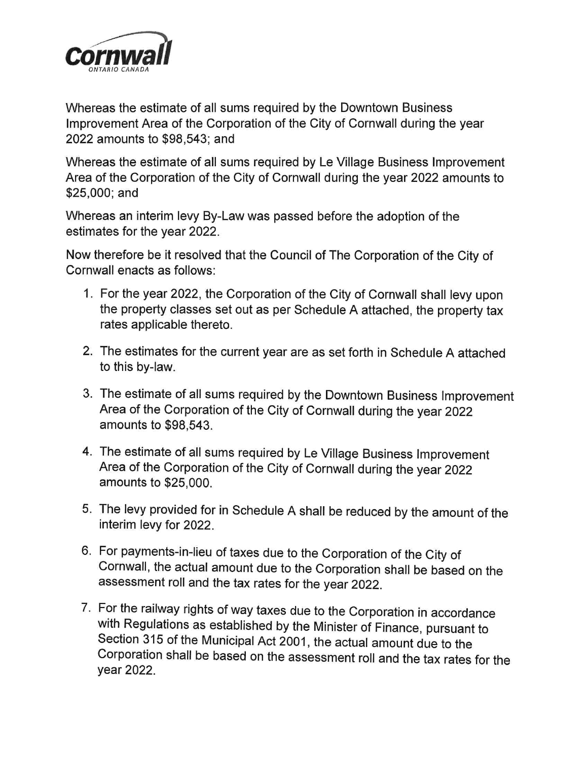

Whereas the estimate of all sums required by the Downtown Business Improvement Area of the Corporation of the City of Cornwall during the year 2022 amounts to \$98,543; and

Whereas the estimate of all sums required by Le Village Business Improvement Area of the Corporation of the City of Cornwall during the year 2022 amounts to \$25,000; and

Whereas an interim levy By-Law was passed before the adoption of the estimates for the year 2022.

Now therefore be it resolved that the Council of The Corporation of the City of Cornwall enacts as follows:

- 1. For the year 2022, the Corporation of the City of Cornwall shall levy upon the property classes set out as per Schedule A attached, the property tax rates applicable thereto.
- 2. The estimates for the current year are as set forth in Schedule A attached to this by-law.
- 3. The estimate of all sums required by the Downtown Business Improvement Area of the Corporation of the City of Cornwall during the year 2022 amounts to \$98,543.
- 4. The estimate of all sums required by Le Village Business Improvement Area of the Corporation of the City of Cornwall during the year 2022 amounts to \$25,000.
- 5. The levy provided for in Schedule A shall be reduced by the amount of the interim levy for 2022.
- 6. For payments-in-lieu of taxes due to the Corporation of the City of Cornwall, the actual amount due to the Corporation shall be based on the assessment roll and the tax rates for the year 2022.
- 7. For the railway rights of way taxes due to the Corporation in accordance with Regulations as established by the Minister of Finance, pursuant to Section 315 of the Municipal Act 2001, the actual amount due to the Corporation shall be based on the assessment roll and the tax rates for the year 2022.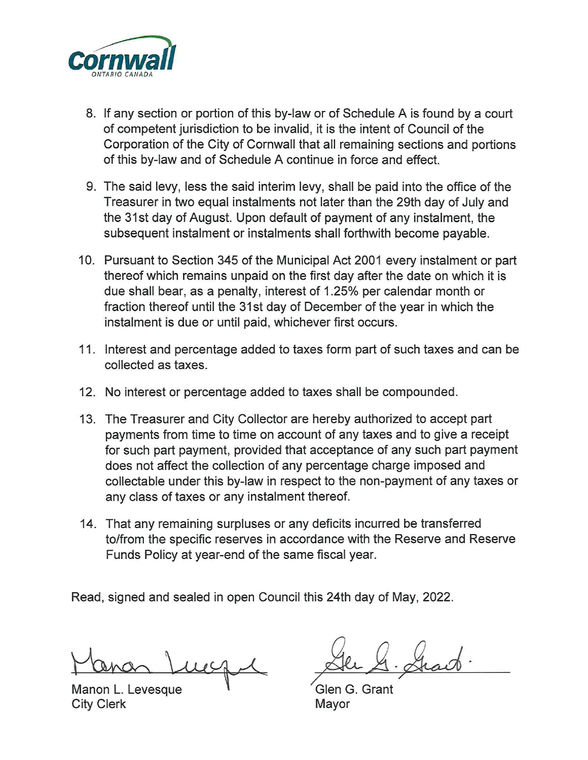

- 8. If any section or portion of this by-law or of Schedule A is found by a court of competent jurisdiction to be invalid, it is the intent of Council of the Corporation of the City of Cornwall that all remaining sections and portions of this by-law and of Schedule A continue in force and effect.
- 9. The said levy, less the said interim levy, shall be paid into the office of the Treasurer in two equal instalments not later than the 29th day of July and the 31st day of August. Upon default of payment of any instalment, the subsequent instalment or instalments shall forthwith become payable.
- 10. Pursuant to Section 345 of the Municipal Act 2001 every instalment or part thereof which remains unpaid on the first day after the date on which it is due shall bear, as a penalty, interest of 1.25% per calendar month or fraction thereof until the 31st day of December of the year in which the instalment is due or until paid, whichever first occurs.
- 11. Interest and percentage added to taxes form part of such taxes and can be collected as taxes.
- 12. No interest or percentage added to taxes shall be compounded.
- 13. The Treasurer and City Collector are hereby authorized to accept part payments from time to time on account of any taxes and to give a receipt for such part payment, provided that acceptance of any such part payment does not affect the collection of any percentage charge imposed and collectable under this by-law in respect to the non-payment of any taxes or any class of taxes or any instalment thereof.
- 14. That any remaining surpluses or any deficits incurred be transferred to/from the specific reserves in accordance with the Reserve and Reserve Funds Policy at year-end of the same fiscal year.

Read, signed and sealed in open Council this 24th day of May, 2022.

Manon L. Levesque **City Clerk** 

Glen G. Grant Mavor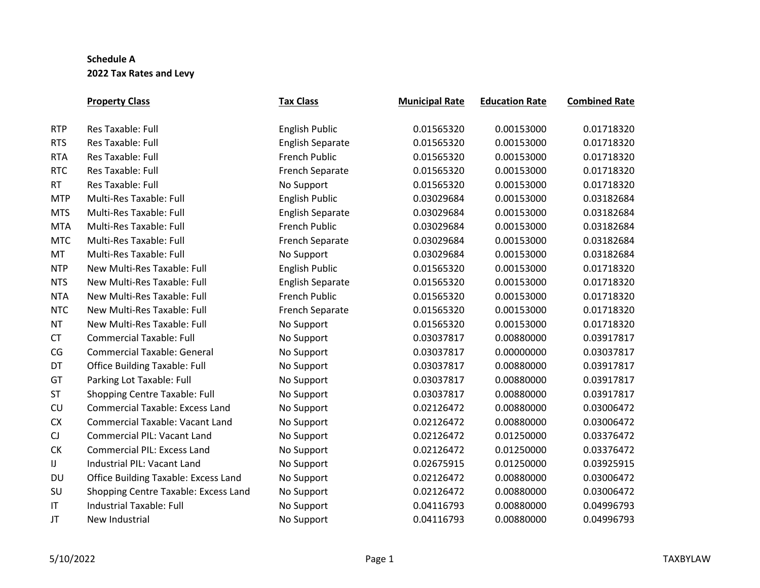|            | <b>Property Class</b>                       | <b>Tax Class</b>        | <b>Municipal Rate</b> | <b>Education Rate</b> | <b>Combined Rate</b> |
|------------|---------------------------------------------|-------------------------|-----------------------|-----------------------|----------------------|
| <b>RTP</b> | <b>Res Taxable: Full</b>                    | <b>English Public</b>   | 0.01565320            | 0.00153000            | 0.01718320           |
| <b>RTS</b> | Res Taxable: Full                           | <b>English Separate</b> | 0.01565320            | 0.00153000            | 0.01718320           |
| <b>RTA</b> | Res Taxable: Full                           | <b>French Public</b>    | 0.01565320            | 0.00153000            | 0.01718320           |
| <b>RTC</b> | Res Taxable: Full                           | <b>French Separate</b>  | 0.01565320            | 0.00153000            | 0.01718320           |
| <b>RT</b>  | Res Taxable: Full                           | No Support              | 0.01565320            | 0.00153000            | 0.01718320           |
| <b>MTP</b> | Multi-Res Taxable: Full                     | <b>English Public</b>   | 0.03029684            | 0.00153000            | 0.03182684           |
| <b>MTS</b> | Multi-Res Taxable: Full                     | <b>English Separate</b> | 0.03029684            | 0.00153000            | 0.03182684           |
| <b>MTA</b> | Multi-Res Taxable: Full                     | <b>French Public</b>    | 0.03029684            | 0.00153000            | 0.03182684           |
| <b>MTC</b> | Multi-Res Taxable: Full                     | <b>French Separate</b>  | 0.03029684            | 0.00153000            | 0.03182684           |
| MT         | Multi-Res Taxable: Full                     | No Support              | 0.03029684            | 0.00153000            | 0.03182684           |
| <b>NTP</b> | New Multi-Res Taxable: Full                 | <b>English Public</b>   | 0.01565320            | 0.00153000            | 0.01718320           |
| <b>NTS</b> | New Multi-Res Taxable: Full                 | <b>English Separate</b> | 0.01565320            | 0.00153000            | 0.01718320           |
| <b>NTA</b> | New Multi-Res Taxable: Full                 | <b>French Public</b>    | 0.01565320            | 0.00153000            | 0.01718320           |
| <b>NTC</b> | New Multi-Res Taxable: Full                 | <b>French Separate</b>  | 0.01565320            | 0.00153000            | 0.01718320           |
| <b>NT</b>  | New Multi-Res Taxable: Full                 | No Support              | 0.01565320            | 0.00153000            | 0.01718320           |
| <b>CT</b>  | <b>Commercial Taxable: Full</b>             | No Support              | 0.03037817            | 0.00880000            | 0.03917817           |
| CG         | <b>Commercial Taxable: General</b>          | No Support              | 0.03037817            | 0.00000000            | 0.03037817           |
| DT         | <b>Office Building Taxable: Full</b>        | No Support              | 0.03037817            | 0.00880000            | 0.03917817           |
| GT         | Parking Lot Taxable: Full                   | No Support              | 0.03037817            | 0.00880000            | 0.03917817           |
| <b>ST</b>  | Shopping Centre Taxable: Full               | No Support              | 0.03037817            | 0.00880000            | 0.03917817           |
| CU         | <b>Commercial Taxable: Excess Land</b>      | No Support              | 0.02126472            | 0.00880000            | 0.03006472           |
| <b>CX</b>  | <b>Commercial Taxable: Vacant Land</b>      | No Support              | 0.02126472            | 0.00880000            | 0.03006472           |
| CJ         | <b>Commercial PIL: Vacant Land</b>          | No Support              | 0.02126472            | 0.01250000            | 0.03376472           |
| <b>CK</b>  | <b>Commercial PIL: Excess Land</b>          | No Support              | 0.02126472            | 0.01250000            | 0.03376472           |
| IJ         | Industrial PIL: Vacant Land                 | No Support              | 0.02675915            | 0.01250000            | 0.03925915           |
| DU         | <b>Office Building Taxable: Excess Land</b> | No Support              | 0.02126472            | 0.00880000            | 0.03006472           |
| SU         | Shopping Centre Taxable: Excess Land        | No Support              | 0.02126472            | 0.00880000            | 0.03006472           |
| IT         | <b>Industrial Taxable: Full</b>             | No Support              | 0.04116793            | 0.00880000            | 0.04996793           |
| JT         | New Industrial                              | No Support              | 0.04116793            | 0.00880000            | 0.04996793           |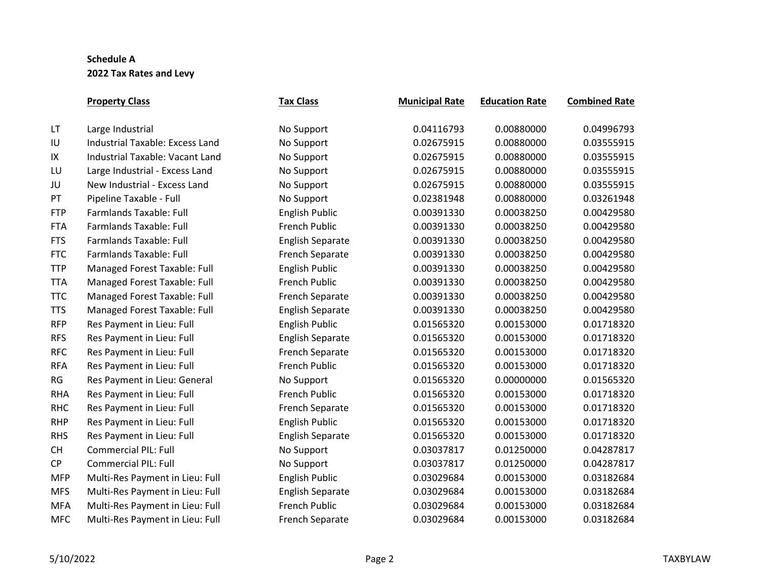|            | <b>Property Class</b>                  | <b>Tax Class</b>        | <b>Municipal Rate</b> | <b>Education Rate</b> | <b>Combined Rate</b> |
|------------|----------------------------------------|-------------------------|-----------------------|-----------------------|----------------------|
| LT.        | Large Industrial                       | No Support              | 0.04116793            | 0.00880000            | 0.04996793           |
| IU         | <b>Industrial Taxable: Excess Land</b> | No Support              | 0.02675915            | 0.00880000            | 0.03555915           |
| IX         | Industrial Taxable: Vacant Land        | No Support              | 0.02675915            | 0.00880000            | 0.03555915           |
| LU         | Large Industrial - Excess Land         | No Support              | 0.02675915            | 0.00880000            | 0.03555915           |
| JU         | New Industrial - Excess Land           | No Support              | 0.02675915            | 0.00880000            | 0.03555915           |
| PT         | Pipeline Taxable - Full                | No Support              | 0.02381948            | 0.00880000            | 0.03261948           |
| <b>FTP</b> | <b>Farmlands Taxable: Full</b>         | <b>English Public</b>   | 0.00391330            | 0.00038250            | 0.00429580           |
| <b>FTA</b> | <b>Farmlands Taxable: Full</b>         | <b>French Public</b>    | 0.00391330            | 0.00038250            | 0.00429580           |
| <b>FTS</b> | <b>Farmlands Taxable: Full</b>         | <b>English Separate</b> | 0.00391330            | 0.00038250            | 0.00429580           |
| <b>FTC</b> | <b>Farmlands Taxable: Full</b>         | <b>French Separate</b>  | 0.00391330            | 0.00038250            | 0.00429580           |
| <b>TTP</b> | Managed Forest Taxable: Full           | <b>English Public</b>   | 0.00391330            | 0.00038250            | 0.00429580           |
| <b>TTA</b> | Managed Forest Taxable: Full           | French Public           | 0.00391330            | 0.00038250            | 0.00429580           |
| <b>TTC</b> | Managed Forest Taxable: Full           | <b>French Separate</b>  | 0.00391330            | 0.00038250            | 0.00429580           |
| <b>TTS</b> | Managed Forest Taxable: Full           | <b>English Separate</b> | 0.00391330            | 0.00038250            | 0.00429580           |
| <b>RFP</b> | Res Payment in Lieu: Full              | <b>English Public</b>   | 0.01565320            | 0.00153000            | 0.01718320           |
| <b>RFS</b> | Res Payment in Lieu: Full              | <b>English Separate</b> | 0.01565320            | 0.00153000            | 0.01718320           |
| <b>RFC</b> | Res Payment in Lieu: Full              | French Separate         | 0.01565320            | 0.00153000            | 0.01718320           |
| <b>RFA</b> | Res Payment in Lieu: Full              | French Public           | 0.01565320            | 0.00153000            | 0.01718320           |
| RG         | Res Payment in Lieu: General           | No Support              | 0.01565320            | 0.00000000            | 0.01565320           |
| <b>RHA</b> | Res Payment in Lieu: Full              | French Public           | 0.01565320            | 0.00153000            | 0.01718320           |
| <b>RHC</b> | Res Payment in Lieu: Full              | French Separate         | 0.01565320            | 0.00153000            | 0.01718320           |
| <b>RHP</b> | Res Payment in Lieu: Full              | <b>English Public</b>   | 0.01565320            | 0.00153000            | 0.01718320           |
| <b>RHS</b> | Res Payment in Lieu: Full              | <b>English Separate</b> | 0.01565320            | 0.00153000            | 0.01718320           |
| <b>CH</b>  | <b>Commercial PIL: Full</b>            | No Support              | 0.03037817            | 0.01250000            | 0.04287817           |
| <b>CP</b>  | <b>Commercial PIL: Full</b>            | No Support              | 0.03037817            | 0.01250000            | 0.04287817           |
| <b>MFP</b> | Multi-Res Payment in Lieu: Full        | <b>English Public</b>   | 0.03029684            | 0.00153000            | 0.03182684           |
| <b>MFS</b> | Multi-Res Payment in Lieu: Full        | <b>English Separate</b> | 0.03029684            | 0.00153000            | 0.03182684           |
| <b>MFA</b> | Multi-Res Payment in Lieu: Full        | <b>French Public</b>    | 0.03029684            | 0.00153000            | 0.03182684           |
| <b>MFC</b> | Multi-Res Payment in Lieu: Full        | <b>French Separate</b>  | 0.03029684            | 0.00153000            | 0.03182684           |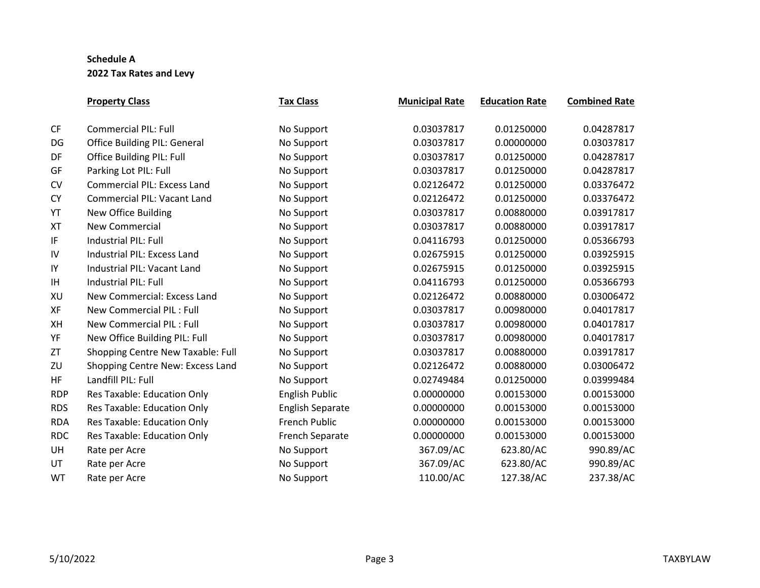|            | <b>Property Class</b>               | <b>Tax Class</b>        | <b>Municipal Rate</b> | <b>Education Rate</b> | <b>Combined Rate</b> |
|------------|-------------------------------------|-------------------------|-----------------------|-----------------------|----------------------|
| <b>CF</b>  | <b>Commercial PIL: Full</b>         | No Support              | 0.03037817            | 0.01250000            | 0.04287817           |
| DG         | <b>Office Building PIL: General</b> | No Support              | 0.03037817            | 0.00000000            | 0.03037817           |
| DF         | <b>Office Building PIL: Full</b>    | No Support              | 0.03037817            | 0.01250000            | 0.04287817           |
| GF         | Parking Lot PIL: Full               | No Support              | 0.03037817            | 0.01250000            | 0.04287817           |
| <b>CV</b>  | Commercial PIL: Excess Land         | No Support              | 0.02126472            | 0.01250000            | 0.03376472           |
| <b>CY</b>  | <b>Commercial PIL: Vacant Land</b>  | No Support              | 0.02126472            | 0.01250000            | 0.03376472           |
| YT         | New Office Building                 | No Support              | 0.03037817            | 0.00880000            | 0.03917817           |
| <b>XT</b>  | <b>New Commercial</b>               | No Support              | 0.03037817            | 0.00880000            | 0.03917817           |
| IF         | Industrial PIL: Full                | No Support              | 0.04116793            | 0.01250000            | 0.05366793           |
| IV         | Industrial PIL: Excess Land         | No Support              | 0.02675915            | 0.01250000            | 0.03925915           |
| IY         | Industrial PIL: Vacant Land         | No Support              | 0.02675915            | 0.01250000            | 0.03925915           |
| IH         | <b>Industrial PIL: Full</b>         | No Support              | 0.04116793            | 0.01250000            | 0.05366793           |
| XU         | New Commercial: Excess Land         | No Support              | 0.02126472            | 0.00880000            | 0.03006472           |
| XF         | <b>New Commercial PIL: Full</b>     | No Support              | 0.03037817            | 0.00980000            | 0.04017817           |
| XH         | New Commercial PIL: Full            | No Support              | 0.03037817            | 0.00980000            | 0.04017817           |
| YF         | New Office Building PIL: Full       | No Support              | 0.03037817            | 0.00980000            | 0.04017817           |
| ZT         | Shopping Centre New Taxable: Full   | No Support              | 0.03037817            | 0.00880000            | 0.03917817           |
| ZU         | Shopping Centre New: Excess Land    | No Support              | 0.02126472            | 0.00880000            | 0.03006472           |
| HF         | Landfill PIL: Full                  | No Support              | 0.02749484            | 0.01250000            | 0.03999484           |
| <b>RDP</b> | Res Taxable: Education Only         | <b>English Public</b>   | 0.00000000            | 0.00153000            | 0.00153000           |
| <b>RDS</b> | Res Taxable: Education Only         | <b>English Separate</b> | 0.00000000            | 0.00153000            | 0.00153000           |
| <b>RDA</b> | Res Taxable: Education Only         | French Public           | 0.00000000            | 0.00153000            | 0.00153000           |
| <b>RDC</b> | Res Taxable: Education Only         | French Separate         | 0.00000000            | 0.00153000            | 0.00153000           |
| UH         | Rate per Acre                       | No Support              | 367.09/AC             | 623.80/AC             | 990.89/AC            |
| UT         | Rate per Acre                       | No Support              | 367.09/AC             | 623.80/AC             | 990.89/AC            |
| WT         | Rate per Acre                       | No Support              | 110.00/AC             | 127.38/AC             | 237.38/AC            |